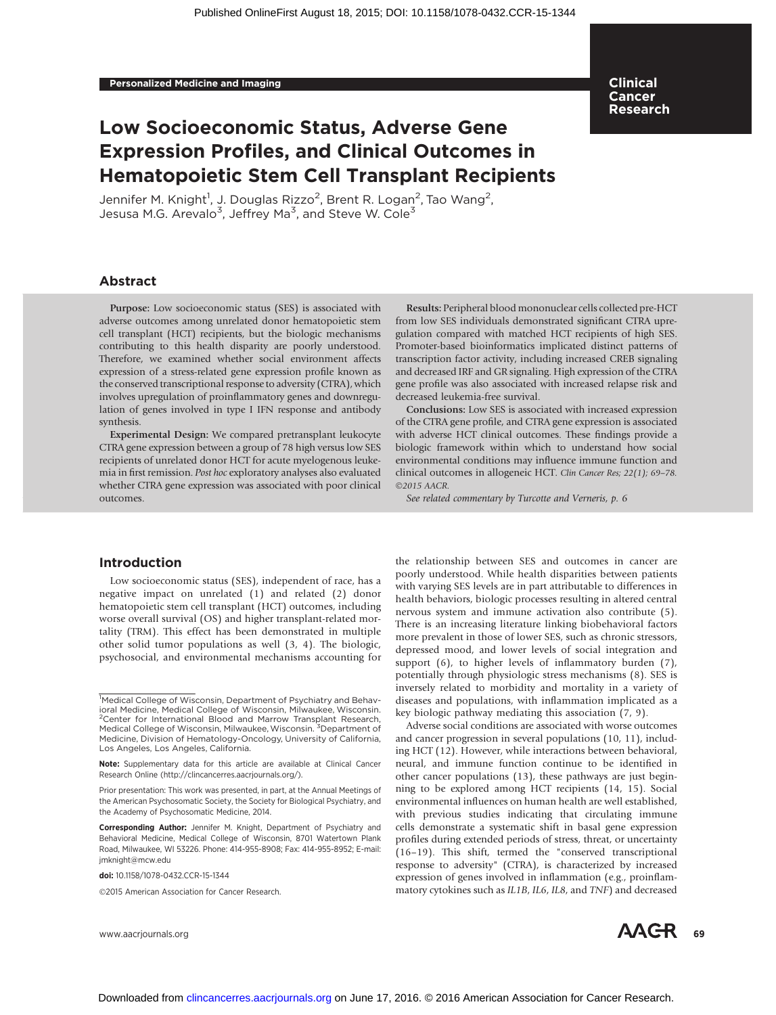# Low Socioeconomic Status, Adverse Gene Expression Profiles, and Clinical Outcomes in Hematopoietic Stem Cell Transplant Recipients

Jennifer M. Knight<sup>1</sup>, J. Douglas Rizzo<sup>2</sup>, Brent R. Logan<sup>2</sup>, Tao Wang<sup>2</sup>, Jesusa M.G. Arevalo<sup>3</sup>, Jeffrey Ma<sup>3</sup>, and Steve W. Cole<sup>3</sup>

### Abstract

Purpose: Low socioeconomic status (SES) is associated with adverse outcomes among unrelated donor hematopoietic stem cell transplant (HCT) recipients, but the biologic mechanisms contributing to this health disparity are poorly understood. Therefore, we examined whether social environment affects expression of a stress-related gene expression profile known as the conserved transcriptional response to adversity (CTRA), which involves upregulation of proinflammatory genes and downregulation of genes involved in type I IFN response and antibody synthesis.

Experimental Design: We compared pretransplant leukocyte CTRA gene expression between a group of 78 high versus low SES recipients of unrelated donor HCT for acute myelogenous leukemia in first remission. Post hoc exploratory analyses also evaluated whether CTRA gene expression was associated with poor clinical outcomes.

Results: Peripheral blood mononuclear cells collected pre-HCT from low SES individuals demonstrated significant CTRA upregulation compared with matched HCT recipients of high SES. Promoter-based bioinformatics implicated distinct patterns of transcription factor activity, including increased CREB signaling and decreased IRF and GR signaling. High expression of the CTRA gene profile was also associated with increased relapse risk and decreased leukemia-free survival.

Clinical Cancer Research

Conclusions: Low SES is associated with increased expression of the CTRA gene profile, and CTRA gene expression is associated with adverse HCT clinical outcomes. These findings provide a biologic framework within which to understand how social environmental conditions may influence immune function and clinical outcomes in allogeneic HCT. Clin Cancer Res; 22(1); 69–78. 2015 AACR.

See related commentary by Turcotte and Verneris, p. 6

#### Introduction

Low socioeconomic status (SES), independent of race, has a negative impact on unrelated (1) and related (2) donor hematopoietic stem cell transplant (HCT) outcomes, including worse overall survival (OS) and higher transplant-related mortality (TRM). This effect has been demonstrated in multiple other solid tumor populations as well (3, 4). The biologic, psychosocial, and environmental mechanisms accounting for

2015 American Association for Cancer Research.



Adverse social conditions are associated with worse outcomes and cancer progression in several populations (10, 11), including HCT (12). However, while interactions between behavioral, neural, and immune function continue to be identified in other cancer populations (13), these pathways are just beginning to be explored among HCT recipients (14, 15). Social environmental influences on human health are well established, with previous studies indicating that circulating immune cells demonstrate a systematic shift in basal gene expression profiles during extended periods of stress, threat, or uncertainty (16–19). This shift, termed the "conserved transcriptional response to adversity" (CTRA), is characterized by increased expression of genes involved in inflammation (e.g., proinflammatory cytokines such as IL1B, IL6, IL8, and TNF) and decreased



<sup>&</sup>lt;sup>1</sup>Medical College of Wisconsin, Department of Psychiatry and Behavioral Medicine, Medical College of Wisconsin, Milwaukee, Wisconsin. <sup>2</sup> Center for International Blood and Marrow Transplant Research, Medical College of Wisconsin, Milwaukee, Wisconsin.<sup>3</sup> Department of Medicine, Division of Hematology-Oncology, University of California, Los Angeles, Los Angeles, California.

Note: Supplementary data for this article are available at Clinical Cancer Research Online (http://clincancerres.aacrjournals.org/).

Prior presentation: This work was presented, in part, at the Annual Meetings of the American Psychosomatic Society, the Society for Biological Psychiatry, and the Academy of Psychosomatic Medicine, 2014.

Corresponding Author: Jennifer M. Knight, Department of Psychiatry and Behavioral Medicine, Medical College of Wisconsin, 8701 Watertown Plank Road, Milwaukee, WI 53226. Phone: 414-955-8908; Fax: 414-955-8952; E-mail: jmknight@mcw.edu

doi: 10.1158/1078-0432.CCR-15-1344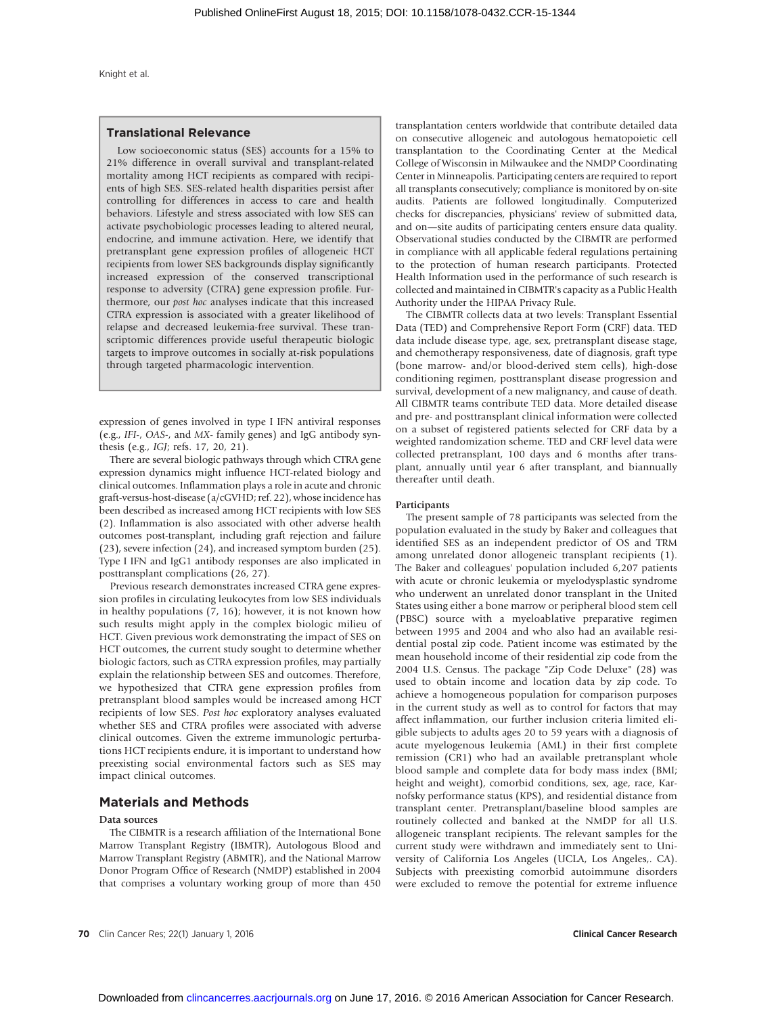#### Translational Relevance

Low socioeconomic status (SES) accounts for a 15% to 21% difference in overall survival and transplant-related mortality among HCT recipients as compared with recipients of high SES. SES-related health disparities persist after controlling for differences in access to care and health behaviors. Lifestyle and stress associated with low SES can activate psychobiologic processes leading to altered neural, endocrine, and immune activation. Here, we identify that pretransplant gene expression profiles of allogeneic HCT recipients from lower SES backgrounds display significantly increased expression of the conserved transcriptional response to adversity (CTRA) gene expression profile. Furthermore, our post hoc analyses indicate that this increased CTRA expression is associated with a greater likelihood of relapse and decreased leukemia-free survival. These transcriptomic differences provide useful therapeutic biologic targets to improve outcomes in socially at-risk populations through targeted pharmacologic intervention.

expression of genes involved in type I IFN antiviral responses (e.g., IFI-, OAS-, and MX- family genes) and IgG antibody synthesis (e.g., IGJ; refs. 17, 20, 21).

There are several biologic pathways through which CTRA gene expression dynamics might influence HCT-related biology and clinical outcomes. Inflammation plays a role in acute and chronic graft-versus-host-disease (a/cGVHD; ref. 22), whose incidence has been described as increased among HCT recipients with low SES (2). Inflammation is also associated with other adverse health outcomes post-transplant, including graft rejection and failure (23), severe infection (24), and increased symptom burden (25). Type I IFN and IgG1 antibody responses are also implicated in posttransplant complications (26, 27).

Previous research demonstrates increased CTRA gene expression profiles in circulating leukocytes from low SES individuals in healthy populations (7, 16); however, it is not known how such results might apply in the complex biologic milieu of HCT. Given previous work demonstrating the impact of SES on HCT outcomes, the current study sought to determine whether biologic factors, such as CTRA expression profiles, may partially explain the relationship between SES and outcomes. Therefore, we hypothesized that CTRA gene expression profiles from pretransplant blood samples would be increased among HCT recipients of low SES. Post hoc exploratory analyses evaluated whether SES and CTRA profiles were associated with adverse clinical outcomes. Given the extreme immunologic perturbations HCT recipients endure, it is important to understand how preexisting social environmental factors such as SES may impact clinical outcomes.

#### Materials and Methods

#### Data sources

The CIBMTR is a research affiliation of the International Bone Marrow Transplant Registry (IBMTR), Autologous Blood and Marrow Transplant Registry (ABMTR), and the National Marrow Donor Program Office of Research (NMDP) established in 2004 that comprises a voluntary working group of more than 450 transplantation centers worldwide that contribute detailed data on consecutive allogeneic and autologous hematopoietic cell transplantation to the Coordinating Center at the Medical College of Wisconsin in Milwaukee and the NMDP Coordinating Center in Minneapolis. Participating centers are required to report all transplants consecutively; compliance is monitored by on-site audits. Patients are followed longitudinally. Computerized checks for discrepancies, physicians' review of submitted data, and on—site audits of participating centers ensure data quality. Observational studies conducted by the CIBMTR are performed in compliance with all applicable federal regulations pertaining to the protection of human research participants. Protected Health Information used in the performance of such research is collected and maintained in CIBMTR's capacity as a Public Health Authority under the HIPAA Privacy Rule.

The CIBMTR collects data at two levels: Transplant Essential Data (TED) and Comprehensive Report Form (CRF) data. TED data include disease type, age, sex, pretransplant disease stage, and chemotherapy responsiveness, date of diagnosis, graft type (bone marrow- and/or blood-derived stem cells), high-dose conditioning regimen, posttransplant disease progression and survival, development of a new malignancy, and cause of death. All CIBMTR teams contribute TED data. More detailed disease and pre- and posttransplant clinical information were collected on a subset of registered patients selected for CRF data by a weighted randomization scheme. TED and CRF level data were collected pretransplant, 100 days and 6 months after transplant, annually until year 6 after transplant, and biannually thereafter until death.

#### Participants

The present sample of 78 participants was selected from the population evaluated in the study by Baker and colleagues that identified SES as an independent predictor of OS and TRM among unrelated donor allogeneic transplant recipients (1). The Baker and colleagues' population included 6,207 patients with acute or chronic leukemia or myelodysplastic syndrome who underwent an unrelated donor transplant in the United States using either a bone marrow or peripheral blood stem cell (PBSC) source with a myeloablative preparative regimen between 1995 and 2004 and who also had an available residential postal zip code. Patient income was estimated by the mean household income of their residential zip code from the 2004 U.S. Census. The package "Zip Code Deluxe" (28) was used to obtain income and location data by zip code. To achieve a homogeneous population for comparison purposes in the current study as well as to control for factors that may affect inflammation, our further inclusion criteria limited eligible subjects to adults ages 20 to 59 years with a diagnosis of acute myelogenous leukemia (AML) in their first complete remission (CR1) who had an available pretransplant whole blood sample and complete data for body mass index (BMI; height and weight), comorbid conditions, sex, age, race, Karnofsky performance status (KPS), and residential distance from transplant center. Pretransplant/baseline blood samples are routinely collected and banked at the NMDP for all U.S. allogeneic transplant recipients. The relevant samples for the current study were withdrawn and immediately sent to University of California Los Angeles (UCLA, Los Angeles,. CA). Subjects with preexisting comorbid autoimmune disorders were excluded to remove the potential for extreme influence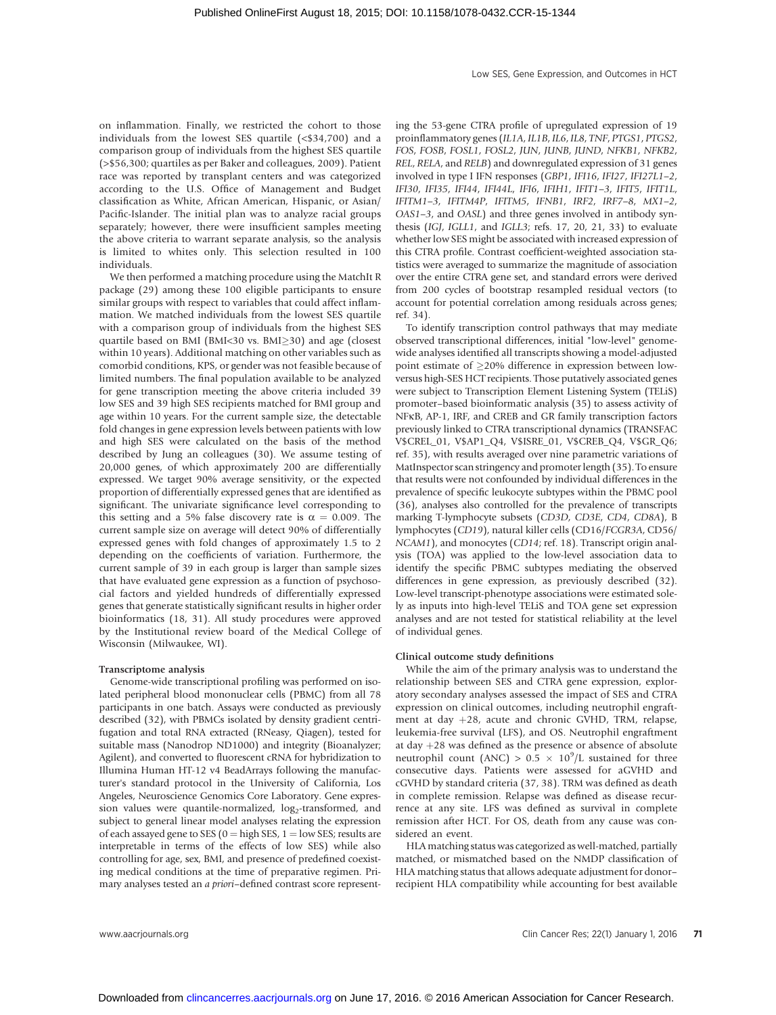on inflammation. Finally, we restricted the cohort to those individuals from the lowest SES quartile (<\$34,700) and a comparison group of individuals from the highest SES quartile (>\$56,300; quartiles as per Baker and colleagues, 2009). Patient race was reported by transplant centers and was categorized according to the U.S. Office of Management and Budget classification as White, African American, Hispanic, or Asian/ Pacific-Islander. The initial plan was to analyze racial groups separately; however, there were insufficient samples meeting the above criteria to warrant separate analysis, so the analysis is limited to whites only. This selection resulted in 100 individuals.

We then performed a matching procedure using the MatchIt R package (29) among these 100 eligible participants to ensure similar groups with respect to variables that could affect inflammation. We matched individuals from the lowest SES quartile with a comparison group of individuals from the highest SES quartile based on BMI (BMI<30 vs. BMI $\geq$ 30) and age (closest within 10 years). Additional matching on other variables such as comorbid conditions, KPS, or gender was not feasible because of limited numbers. The final population available to be analyzed for gene transcription meeting the above criteria included 39 low SES and 39 high SES recipients matched for BMI group and age within 10 years. For the current sample size, the detectable fold changes in gene expression levels between patients with low and high SES were calculated on the basis of the method described by Jung an colleagues (30). We assume testing of 20,000 genes, of which approximately 200 are differentially expressed. We target 90% average sensitivity, or the expected proportion of differentially expressed genes that are identified as significant. The univariate significance level corresponding to this setting and a 5% false discovery rate is  $\alpha = 0.009$ . The current sample size on average will detect 90% of differentially expressed genes with fold changes of approximately 1.5 to 2 depending on the coefficients of variation. Furthermore, the current sample of 39 in each group is larger than sample sizes that have evaluated gene expression as a function of psychosocial factors and yielded hundreds of differentially expressed genes that generate statistically significant results in higher order bioinformatics (18, 31). All study procedures were approved by the Institutional review board of the Medical College of Wisconsin (Milwaukee, WI).

#### Transcriptome analysis

Genome-wide transcriptional profiling was performed on isolated peripheral blood mononuclear cells (PBMC) from all 78 participants in one batch. Assays were conducted as previously described (32), with PBMCs isolated by density gradient centrifugation and total RNA extracted (RNeasy, Qiagen), tested for suitable mass (Nanodrop ND1000) and integrity (Bioanalyzer; Agilent), and converted to fluorescent cRNA for hybridization to Illumina Human HT-12 v4 BeadArrays following the manufacturer's standard protocol in the University of California, Los Angeles, Neuroscience Genomics Core Laboratory. Gene expression values were quantile-normalized,  $log<sub>2</sub>$ -transformed, and subject to general linear model analyses relating the expression of each assayed gene to SES ( $0 =$  high SES,  $1 =$  low SES; results are interpretable in terms of the effects of low SES) while also controlling for age, sex, BMI, and presence of predefined coexisting medical conditions at the time of preparative regimen. Primary analyses tested an a priori–defined contrast score representing the 53-gene CTRA profile of upregulated expression of 19 proinflammatory genes (IL1A, IL1B, IL6, IL8, TNF, PTGS1, PTGS2, FOS, FOSB, FOSL1, FOSL2, JUN, JUNB, JUND, NFKB1, NFKB2, REL, RELA, and RELB) and downregulated expression of 31 genes involved in type I IFN responses (GBP1, IFI16, IFI27, IFI27L1–2, IFI30, IFI35, IFI44, IFI44L, IFI6, IFIH1, IFIT1–3, IFIT5, IFIT1L, IFITM1–3, IFITM4P, IFITM5, IFNB1, IRF2, IRF7–8, MX1–2, OAS1–3, and OASL) and three genes involved in antibody synthesis (IGJ, IGLL1, and IGLL3; refs. 17, 20, 21, 33) to evaluate whether low SES might be associated with increased expression of this CTRA profile. Contrast coefficient-weighted association statistics were averaged to summarize the magnitude of association over the entire CTRA gene set, and standard errors were derived from 200 cycles of bootstrap resampled residual vectors (to account for potential correlation among residuals across genes; ref. 34).

To identify transcription control pathways that may mediate observed transcriptional differences, initial "low-level" genomewide analyses identified all transcripts showing a model-adjusted point estimate of 20% difference in expression between lowversus high-SES HCT recipients. Those putatively associated genes were subject to Transcription Element Listening System (TELiS) promoter–based bioinformatic analysis (35) to assess activity of NFkB, AP-1, IRF, and CREB and GR family transcription factors previously linked to CTRA transcriptional dynamics (TRANSFAC V\$CREL\_01, V\$AP1\_Q4, V\$ISRE\_01, V\$CREB\_Q4, V\$GR\_Q6; ref. 35), with results averaged over nine parametric variations of MatInspector scan stringency and promoter length (35). To ensure that results were not confounded by individual differences in the prevalence of specific leukocyte subtypes within the PBMC pool (36), analyses also controlled for the prevalence of transcripts marking T-lymphocyte subsets (CD3D, CD3E, CD4, CD8A), B lymphocytes (CD19), natural killer cells (CD16/FCGR3A, CD56/ NCAM1), and monocytes (CD14; ref. 18). Transcript origin analysis (TOA) was applied to the low-level association data to identify the specific PBMC subtypes mediating the observed differences in gene expression, as previously described (32). Low-level transcript-phenotype associations were estimated solely as inputs into high-level TELiS and TOA gene set expression analyses and are not tested for statistical reliability at the level of individual genes.

#### Clinical outcome study definitions

While the aim of the primary analysis was to understand the relationship between SES and CTRA gene expression, exploratory secondary analyses assessed the impact of SES and CTRA expression on clinical outcomes, including neutrophil engraftment at day  $+28$ , acute and chronic GVHD, TRM, relapse, leukemia-free survival (LFS), and OS. Neutrophil engraftment at day  $+28$  was defined as the presence or absence of absolute neutrophil count (ANC) >  $0.5 \times 10^9$ /L sustained for three consecutive days. Patients were assessed for aGVHD and cGVHD by standard criteria (37, 38). TRM was defined as death in complete remission. Relapse was defined as disease recurrence at any site. LFS was defined as survival in complete remission after HCT. For OS, death from any cause was considered an event.

HLA matching status was categorized as well-matched, partially matched, or mismatched based on the NMDP classification of HLA matching status that allows adequate adjustment for donor– recipient HLA compatibility while accounting for best available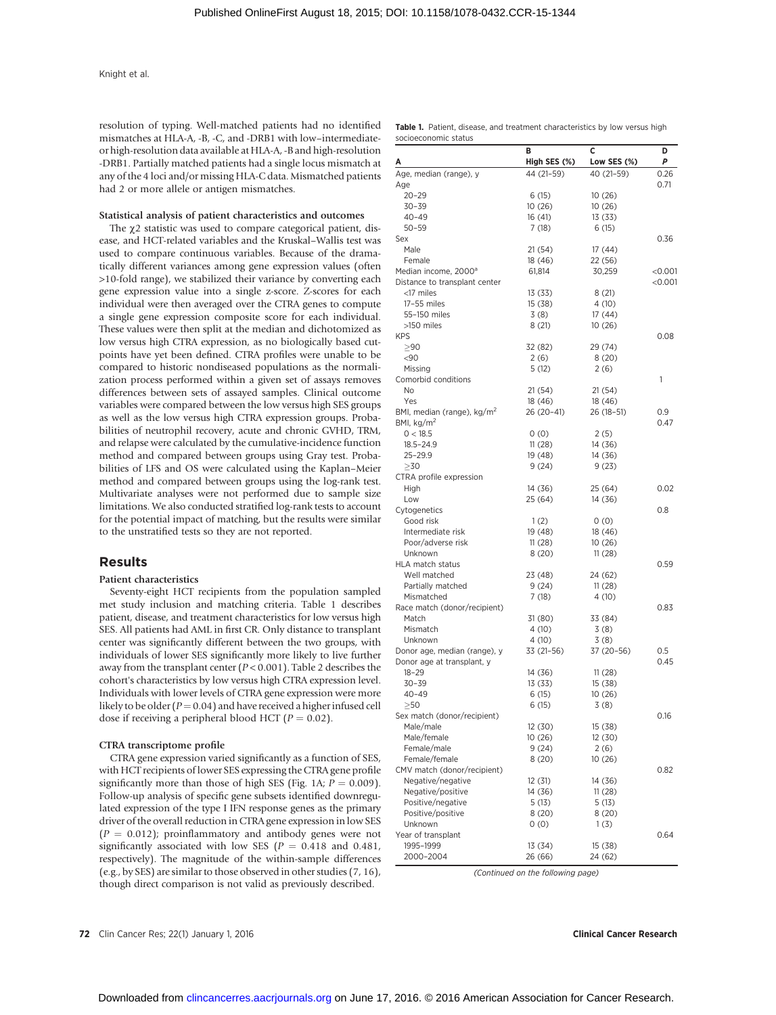resolution of typing. Well-matched patients had no identified mismatches at HLA-A, -B, -C, and -DRB1 with low–intermediateor high-resolution data available at HLA-A, -B and high-resolution -DRB1. Partially matched patients had a single locus mismatch at any of the 4 loci and/or missing HLA-C data. Mismatched patients had 2 or more allele or antigen mismatches.

#### Statistical analysis of patient characteristics and outcomes

The  $\chi$ 2 statistic was used to compare categorical patient, disease, and HCT-related variables and the Kruskal–Wallis test was used to compare continuous variables. Because of the dramatically different variances among gene expression values (often >10-fold range), we stabilized their variance by converting each gene expression value into a single z-score. Z-scores for each individual were then averaged over the CTRA genes to compute a single gene expression composite score for each individual. These values were then split at the median and dichotomized as low versus high CTRA expression, as no biologically based cutpoints have yet been defined. CTRA profiles were unable to be compared to historic nondiseased populations as the normalization process performed within a given set of assays removes differences between sets of assayed samples. Clinical outcome variables were compared between the low versus high SES groups as well as the low versus high CTRA expression groups. Probabilities of neutrophil recovery, acute and chronic GVHD, TRM, and relapse were calculated by the cumulative-incidence function method and compared between groups using Gray test. Probabilities of LFS and OS were calculated using the Kaplan–Meier method and compared between groups using the log-rank test. Multivariate analyses were not performed due to sample size limitations. We also conducted stratified log-rank tests to account for the potential impact of matching, but the results were similar to the unstratified tests so they are not reported.

#### Results

#### Patient characteristics

Seventy-eight HCT recipients from the population sampled met study inclusion and matching criteria. Table 1 describes patient, disease, and treatment characteristics for low versus high SES. All patients had AML in first CR. Only distance to transplant center was significantly different between the two groups, with individuals of lower SES significantly more likely to live further away from the transplant center ( $P < 0.001$ ). Table 2 describes the cohort's characteristics by low versus high CTRA expression level. Individuals with lower levels of CTRA gene expression were more likely to be older ( $P = 0.04$ ) and have received a higher infused cell dose if receiving a peripheral blood HCT ( $P = 0.02$ ).

#### CTRA transcriptome profile

CTRA gene expression varied significantly as a function of SES, with HCT recipients of lower SES expressing the CTRA gene profile significantly more than those of high SES (Fig. 1A;  $P = 0.009$ ). Follow-up analysis of specific gene subsets identified downregulated expression of the type I IFN response genes as the primary driver of the overall reduction in CTRA gene expression in low SES  $(P = 0.012)$ ; proinflammatory and antibody genes were not significantly associated with low SES ( $P = 0.418$  and 0.481, respectively). The magnitude of the within-sample differences (e.g., by SES) are similar to those observed in other studies (7, 16), though direct comparison is not valid as previously described.

Age 0.71 20–29 6 (15) 10 (26) 30–39 10 (26) 10 (26) CTRA profile expression

socioeconomic status

| 40–49                                            | 16 (41)    | 13 (33)    |           |
|--------------------------------------------------|------------|------------|-----------|
| $50 - 59$                                        | 7 (18)     | 6(15)      |           |
| Sex                                              |            |            | 0.36      |
| Male                                             | 21(54)     | 17(44)     |           |
| Female                                           | 18 (46)    | 22 (56)    |           |
| Median income, 2000 <sup>a</sup>                 | 61,814     | 30,259     | $<$ 0.001 |
| Distance to transplant center                    |            |            | $<$ 0.001 |
| <17 miles                                        | 13 (33)    | 8(21)      |           |
| 17-55 miles                                      | 15 (38)    | 4(10)      |           |
| 55-150 miles                                     | 3(8)       | 17 (44)    |           |
| >150 miles                                       | 8 (21)     | 10 (26)    |           |
| <b>KPS</b>                                       |            |            | 0.08      |
| > 90                                             | 32 (82)    | 29 (74)    |           |
| $90$                                             | 2(6)       | 8(20)      |           |
| Missing                                          | 5 (12)     | 2(6)       |           |
| Comorbid conditions                              |            |            | 1         |
| No                                               | 21 (54)    | 21 (54)    |           |
| Yes                                              | 18 (46)    | 18 (46)    |           |
| BMI, median (range), kg/m <sup>2</sup>           | 26 (20-41) | 26 (18-51) | 0.9       |
| BMI, kg/m <sup>2</sup>                           |            |            | 0.47      |
| 0 < 18.5                                         | 0(0)       | 2(5)       |           |
| $18.5 - 24.9$                                    | 11(28)     | 14 (36)    |           |
| 25-29.9                                          | 19 (48)    | 14 (36)    |           |
| $\geq$ 30                                        | 9(24)      | 9(23)      |           |
| CTRA profile expression                          |            |            |           |
| High                                             | 14 (36)    | 25 (64)    | 0.02      |
| Low                                              | 25 (64)    | 14 (36)    |           |
| Cytogenetics                                     |            |            | 0.8       |
| Good risk                                        | 1(2)       | 0(0)       |           |
| Intermediate risk                                | 19 (48)    | 18 (46)    |           |
| Poor/adverse risk                                | 11(28)     | 10 (26)    |           |
| Unknown                                          | 8(20)      | 11(28)     |           |
| <b>HLA match status</b>                          |            |            | 0.59      |
| Well matched                                     | 23 (48)    | 24 (62)    |           |
| Partially matched                                | 9 (24)     | 11(28)     |           |
| Mismatched                                       | 7(18)      | 4 (10)     |           |
| Race match (donor/recipient)                     |            |            | 0.83      |
| Match                                            | 31 (80)    | 33 (84)    |           |
| Mismatch                                         | 4 (10)     | 3(8)       |           |
| Unknown                                          | 4(10)      | 3(8)       |           |
| Donor age, median (range), y                     | 33 (21–56) | 37 (20-56) | 0.5       |
| Donor age at transplant, y                       |            |            | 0.45      |
| $18 - 29$                                        | 14 (36)    | 11(28)     |           |
| $30 - 39$                                        | 13 (33)    | 15 (38)    |           |
| $40 - 49$                                        | 6(15)      | 10(26)     |           |
| $>$ 50                                           | 6(15)      | 3(8)       |           |
| Sex match (donor/recipient)                      |            |            | 0.16      |
| Male/male                                        | 12 (30)    | 15 (38)    |           |
| Male/female                                      | 10 (26)    | 12 (30)    |           |
| Female/male                                      | 9 (24)     | 2(6)       |           |
|                                                  |            |            |           |
| Female/female                                    | 8 (20)     | 10 (26)    |           |
| CMV match (donor/recipient)<br>Negative/negative | 12(31)     |            | 0.82      |
|                                                  |            | 14 (36)    |           |
| Negative/positive                                | 14 (36)    | 11(28)     |           |
| Positive/negative                                | 5(13)      | 5(13)      |           |
| Positive/positive                                | 8(20)      | 8(20)      |           |
| Unknown                                          | 0(0)       | 1(3)       |           |
| Year of transplant                               |            |            | 0.64      |
| 1995–1999                                        | 13 (34)    | 15 (38)    |           |
| 2000-2004                                        | 26 (66)    | 24 (62)    |           |

Table 1. Patient, disease, and treatment characteristics by low versus high

Age, median (range), y 44 (21-59) 40 (21-59) 0.26

B C D High SES (%) Low SES (%) P

(Continued on the following page)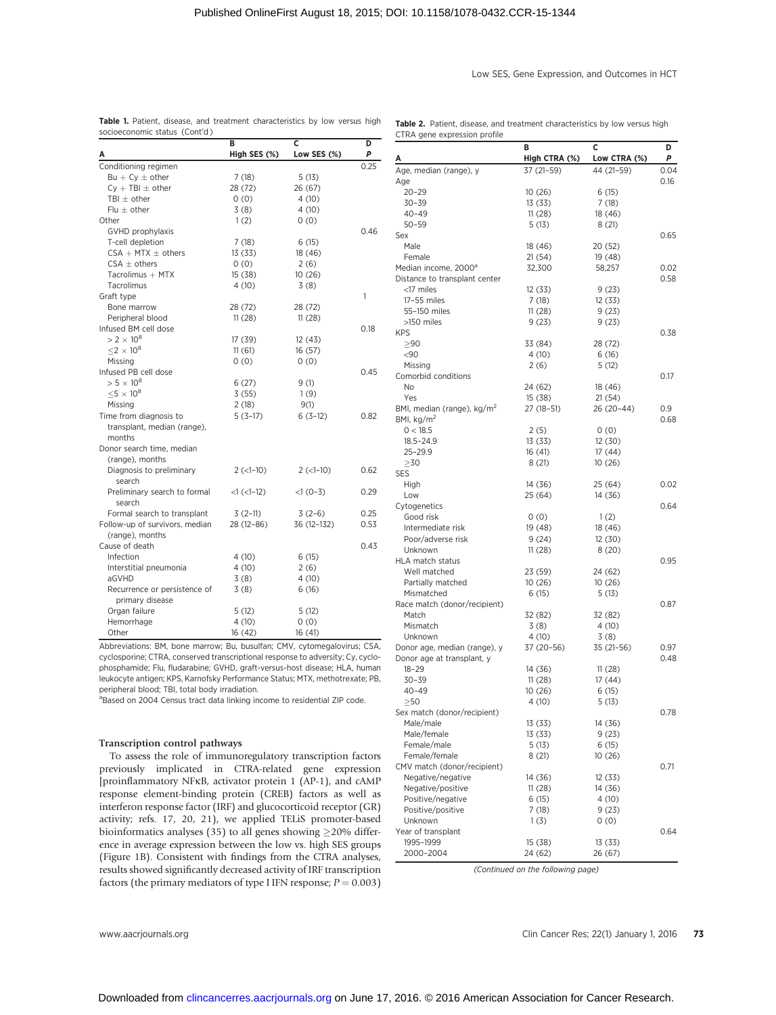#### Low SES, Gene Expression, and Outcomes in HCT

|                                                                          | в                | C               | D    |
|--------------------------------------------------------------------------|------------------|-----------------|------|
| А                                                                        | High SES (%)     | Low SES (%)     | Ρ    |
| Conditioning regimen                                                     |                  |                 | 0.25 |
| $Bu + Cy \pm other$                                                      | 7(18)            | 5(13)           |      |
| $Cy + TBI \pm other$                                                     | 28 (72)          | 26 (67)         |      |
| TBI $\pm$ other                                                          | 0(0)             | 4 (10)          |      |
| Flu $\pm$ other                                                          | 3(8)             | 4(10)           |      |
| Other                                                                    | 1(2)             | 0(0)            |      |
| GVHD prophylaxis                                                         |                  |                 | 0.46 |
| T-cell depletion                                                         | 7(18)            | 6(15)           |      |
| $CSA + MTX \pm \text{others}$                                            | 13(33)           | 18 (46)         |      |
| $CSA \pm \text{others}$                                                  | 0(0)             | 2(6)            |      |
| Tacrolimus $+$ MTX                                                       | 15(38)           | 10(26)          |      |
| Tacrolimus                                                               | 4 (10)           | 3(8)            |      |
| Graft type                                                               |                  |                 | 1    |
| Bone marrow                                                              | 28 (72)          | 28 (72)         |      |
| Peripheral blood                                                         | 11(28)           | 11(28)          |      |
| Infused BM cell dose                                                     |                  |                 | 0.18 |
| $> 2 \times 10^8$                                                        | 17 (39)          | 12(43)          |      |
| $<$ 2 $\times$ 10 <sup>8</sup>                                           | 11(61)           | 16(57)          |      |
| Missing                                                                  | (0)              | 0(0)            |      |
| Infused PB cell dose                                                     |                  |                 | 0.45 |
| $> 5 \times 10^8$                                                        | 6(27)            | 9(1)            |      |
| $<$ 5 $\times$ 10 <sup>8</sup>                                           | 3(55)            | 1(9)            |      |
| Missing                                                                  | 2(18)            | 9(1)            |      |
| Time from diagnosis to                                                   | $5(3-17)$        | $6(3-12)$       | 0.82 |
| transplant, median (range),                                              |                  |                 |      |
| months                                                                   |                  |                 |      |
| Donor search time, median                                                |                  |                 |      |
| (range), months                                                          |                  |                 |      |
| Diagnosis to preliminary                                                 | $2 (-1-10)$      | $2$ ( $<1-10$ ) | 0.62 |
| search                                                                   |                  |                 |      |
| Preliminary search to formal                                             | $<1$ ( $<1$ -12) | $<1(0-3)$       | 0.29 |
| search                                                                   |                  |                 |      |
| Formal search to transplant                                              | $3(2-11)$        | $3(2-6)$        | 0.25 |
| Follow-up of survivors, median                                           | 28 (12-86)       | 36 (12-132)     | 0.53 |
| (range), months                                                          |                  |                 |      |
| Cause of death                                                           |                  |                 | 0.43 |
| Infection                                                                | 4(10)            | 6(15)           |      |
| Interstitial pneumonia                                                   | 4 (10)           | 2(6)            |      |
| aGVHD                                                                    | 3(8)             | 4(10)           |      |
| Recurrence or persistence of                                             | 3(8)             | 6(16)           |      |
| primary disease                                                          |                  |                 |      |
| Organ failure                                                            | 5(12)            | 5(12)           |      |
| Hemorrhage                                                               | 4 (10)           | 0(0)            |      |
| Other                                                                    | 16(42)           | 16(41)          |      |
| Abbreviations: BM, bone marrow; Bu, busulfan; CMV, cytomegalovirus; CSA, |                  |                 |      |

cyclosporine; CTRA, conserved transcriptional response to adversity; Cy, cyclophosphamide; Flu, fludarabine; GVHD, graft-versus-host disease; HLA, human leukocyte antigen; KPS, Karnofsky Performance Status; MTX, methotrexate; PB, peripheral blood; TBI, total body irradiation.

<sup>a</sup>Based on 2004 Census tract data linking income to residential ZIP code.

#### Transcription control pathways

To assess the role of immunoregulatory transcription factors previously implicated in CTRA-related gene expression [proinflammatory NFkB, activator protein 1 (AP-1), and cAMP response element-binding protein (CREB) factors as well as interferon response factor (IRF) and glucocorticoid receptor (GR) activity; refs. 17, 20, 21), we applied TELiS promoter-based bioinformatics analyses (35) to all genes showing  $\geq$  20% difference in average expression between the low vs. high SES groups (Figure 1B). Consistent with findings from the CTRA analyses, results showed significantly decreased activity of IRF transcription factors (the primary mediators of type I IFN response;  $P = 0.003$ )

|                                        | В                  | c                | D    |
|----------------------------------------|--------------------|------------------|------|
| Α                                      | High CTRA (%)      | Low CTRA (%)     | Ρ    |
| Age, median (range), y                 | 37 (21-59)         | 44 (21–59)       | 0.04 |
| Age                                    |                    |                  | 0.16 |
| $20 - 29$                              | 10(26)             | 6(15)            |      |
| $30 - 39$                              | 13 (33)            | 7(18)            |      |
| $40 - 49$                              | 11(28)             | 18 (46)          |      |
| $50 - 59$                              | 5(13)              | 8(21)            |      |
| Sex                                    |                    |                  | 0.65 |
| Male                                   | 18 (46)            | 20 (52)          |      |
| Female                                 | 21 (54)            | 19 (48)          |      |
| Median income, 2000 <sup>a</sup>       | 32,300             | 58,257           | 0.02 |
| Distance to transplant center          |                    |                  | 0.58 |
| <17 miles<br>17-55 miles               | 12 (33)            | 9(23)            |      |
| 55-150 miles                           | 7(18)<br>11(28)    | 12 (33)<br>9(23) |      |
| >150 miles                             | 9 (23)             | 9(23)            |      |
| KPS                                    |                    |                  | 0.38 |
| > 90                                   | 33 (84)            | 28 (72)          |      |
| $90$                                   | 4 (10)             | 6(16)            |      |
| Missing                                | 2(6)               | 5(12)            |      |
| Comorbid conditions                    |                    |                  | 0.17 |
| No                                     | 24 (62)            | 18 (46)          |      |
| Yes                                    | 15 (38)            | 21(54)           |      |
| BMI, median (range), kg/m <sup>2</sup> | 27 (18–51)         | 26 (20-44)       | 0.9  |
| BMI, kg/m <sup>2</sup>                 |                    |                  | 0.68 |
| 0 < 18.5                               | 2(5)               | 0(0)             |      |
| 18.5-24.9                              | 13 (33)            | 12 (30)          |      |
| 25-29.9                                | 16 (41)            | 17 (44)          |      |
| $\geq$ 30                              | 8(21)              | 10 (26)          |      |
| SES                                    |                    |                  |      |
| High                                   | 14 (36)            | 25 (64)          | 0.02 |
| Low                                    | 25 (64)            | 14 (36)          |      |
| Cytogenetics                           |                    |                  | 0.64 |
| Good risk                              | 0(0)               | 1(2)             |      |
| Intermediate risk                      | 19 (48)            | 18 (46)          |      |
| Poor/adverse risk                      | 9(24)              | 12 (30)          |      |
| Unknown                                | 11(28)             | 8(20)            |      |
| HLA match status                       |                    |                  | 0.95 |
| Well matched<br>Partially matched      | 23 (59)<br>10(26)  | 24 (62)          |      |
| Mismatched                             | 6(15)              | 10(26)<br>5 (13) |      |
| Race match (donor/recipient)           |                    |                  | 0.87 |
| Match                                  | 32 (82)            | 32 (82)          |      |
| Mismatch                               | 3(8)               | 4 (10)           |      |
| Unknown                                | 4(10)              | 3(8)             |      |
| Donor age, median (range), y           | 37 (20-56)         | $35(21-56)$      | 0.97 |
| Donor age at transplant, y             |                    |                  | 0.48 |
| $18 - 29$                              | 14 (36)            | 11(28)           |      |
| 30-39                                  | 11(28)             | 17 (44)          |      |
| 40-49                                  | 10 (26)            | 6 (15)           |      |
| $>$ 50                                 | 4 (10)             | 5(13)            |      |
| Sex match (donor/recipient)            |                    |                  | 0.78 |
| Male/male                              | 13 (33)            | 14 (36)          |      |
| Male/female                            | 13 (33)            | 9 (23)           |      |
| Female/male                            | 5 (13)             | 6 (15)           |      |
| Female/female                          | 8 (21)             | 10(26)           |      |
| CMV match (donor/recipient)            |                    |                  | 0.71 |
| Negative/negative                      | 14 (36)            | 12 (33)          |      |
| Negative/positive                      | 11(28)             | 14 (36)          |      |
| Positive/negative                      | 6 (15)             | 4 (10)           |      |
| Positive/positive                      | 7 (18)             | 9 (23)           |      |
| Unknown                                | 1(3)               | 0(0)             |      |
| Year of transplant                     |                    |                  | 0.64 |
| 1995-1999                              | 15 (38)<br>24 (62) | 13 (33)          |      |
| 2000-2004                              |                    | 26 (67)          |      |

(Continued on the following page)

www.aacrjournals.org Clin Cancer Res; 22(1) January 1, 2016 73

Table 1. Patient, disease, and treatment characteristics by low versus high socioeconomic status (Cont'd )

Table 2. Patient, disease, and treatment characteristics by low versus high CTRA gene expression profile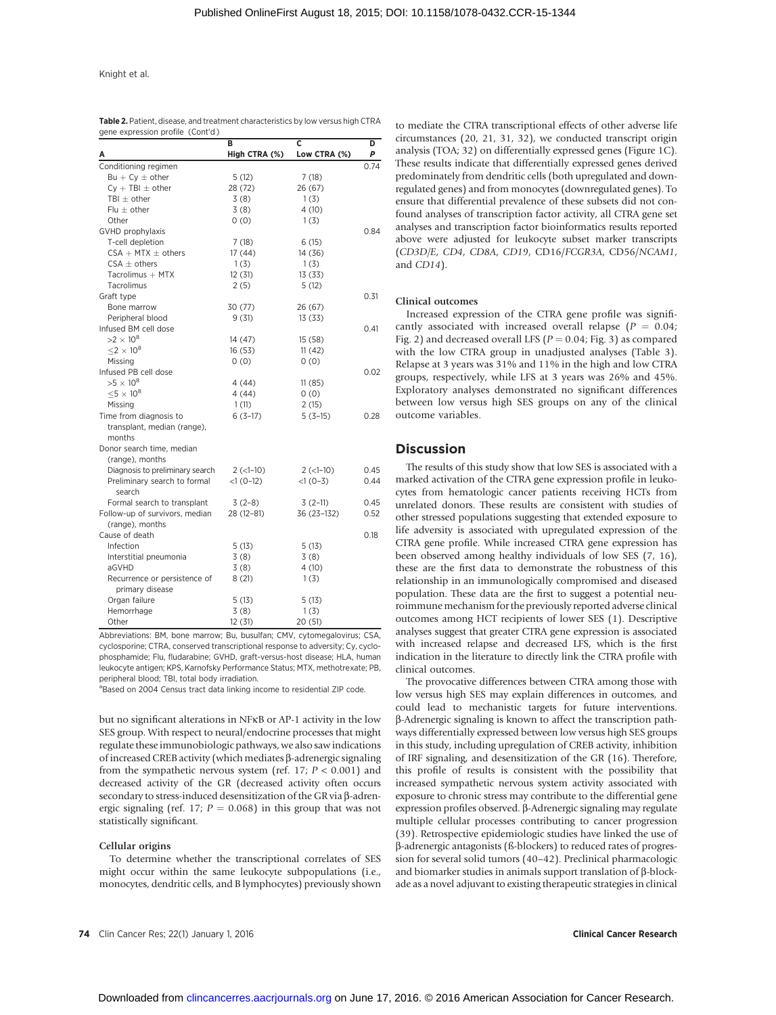| gene expression profile (Cont'd)  | в             | C            | D    |
|-----------------------------------|---------------|--------------|------|
|                                   | High CTRA (%) | Low CTRA (%) | P    |
| Conditioning regimen              |               |              | 0.74 |
| $Bu + Cy \pm other$               | 5(12)         | 7(18)        |      |
| $Cy + TBI \pm other$              | 28 (72)       | 26 (67)      |      |
| TBI $\pm$ other                   | 3(8)          | 1(3)         |      |
| Flu $\pm$ other                   | 3(8)          | 4(10)        |      |
| Other                             | 0(0)          | 1(3)         |      |
| GVHD prophylaxis                  |               |              | 0.84 |
| T-cell depletion                  | 7(18)         | 6(15)        |      |
| $CSA + MTX \pm others$            | 17(44)        | 14 (36)      |      |
| $CSA \pm \text{others}$           | 1(3)          | 1(3)         |      |
| Tacrolimus + MTX                  | 12(31)        | 13(33)       |      |
| Tacrolimus                        | 2(5)          | 5(12)        |      |
| Graft type                        |               |              | 0.31 |
| Bone marrow                       | 30 (77)       | 26 (67)      |      |
| Peripheral blood                  | 9(31)         | 13(33)       |      |
| Infused BM cell dose              |               |              | 0.41 |
| $>2\times10^8$                    | 14 (47)       | 15(58)       |      |
| $<$ 2 $\times$ 10 <sup>8</sup>    | 16(53)        | 11(42)       |      |
| Missing                           | 0(0)          | 0(0)         |      |
| Infused PB cell dose              |               |              | 0.02 |
| $>5\times10^8$                    | 4 (44)        | 11(85)       |      |
| $\leq$ 5 $\times$ 10 <sup>8</sup> | 4(44)         | 0(0)         |      |
| Missing                           | 1(11)         | 2(15)        |      |
| Time from diagnosis to            | $6(3-17)$     | $5(3-15)$    | 0.28 |
| transplant, median (range),       |               |              |      |
| months                            |               |              |      |
| Donor search time, median         |               |              |      |
| (range), months                   |               |              |      |
| Diagnosis to preliminary search   | $2 (-1-10)$   | $2$ (<1-10)  | 0.45 |
| Preliminary search to formal      | $<1(0-12)$    | $<1(0-3)$    | 0.44 |
| search                            |               |              |      |
| Formal search to transplant       | $3(2-8)$      | $3(2-11)$    | 0.45 |
| Follow-up of survivors, median    | 28 (12-81)    | 36 (23-132)  | 0.52 |
| (range), months                   |               |              |      |
| Cause of death                    |               |              | 0.18 |
| Infection                         | 5(13)         | 5(13)        |      |
| Interstitial pneumonia            | 3(8)          | 3(8)         |      |
| aGVHD                             | 3(8)          | 4(10)        |      |
| Recurrence or persistence of      | 8(21)         | 1(3)         |      |
| primary disease                   |               |              |      |
| Organ failure                     | 5(13)         | 5(13)        |      |
| Hemorrhage                        | 3(8)          | 1(3)         |      |
| Other                             | 12 (31)       | 20 (51)      |      |

Table 2. Patient, disease, and treatment characteristics by low versus high CTRA

Abbreviations: BM, bone marrow; Bu, busulfan; CMV, cytomegalovirus; CSA, cyclosporine; CTRA, conserved transcriptional response to adversity; Cy, cyclophosphamide; Flu, fludarabine; GVHD, graft-versus-host disease; HLA, human leukocyte antigen; KPS, Karnofsky Performance Status; MTX, methotrexate; PB, peripheral blood; TBI, total body irradiation.

<sup>a</sup>Based on 2004 Census tract data linking income to residential ZIP code.

but no significant alterations in NFkB or AP-1 activity in the low SES group. With respect to neural/endocrine processes that might regulate these immunobiologic pathways, we also saw indications of increased CREB activity (which mediates  $\beta$ -adrenergic signaling from the sympathetic nervous system (ref. 17;  $P < 0.001$ ) and decreased activity of the GR (decreased activity often occurs secondary to stress-induced desensitization of the GR via  $\beta$ -adrenergic signaling (ref. 17;  $P = 0.068$ ) in this group that was not statistically significant.

#### Cellular origins

To determine whether the transcriptional correlates of SES might occur within the same leukocyte subpopulations (i.e., monocytes, dendritic cells, and B lymphocytes) previously shown to mediate the CTRA transcriptional effects of other adverse life circumstances (20, 21, 31, 32), we conducted transcript origin analysis (TOA; 32) on differentially expressed genes (Figure 1C). These results indicate that differentially expressed genes derived predominately from dendritic cells (both upregulated and downregulated genes) and from monocytes (downregulated genes). To ensure that differential prevalence of these subsets did not confound analyses of transcription factor activity, all CTRA gene set analyses and transcription factor bioinformatics results reported above were adjusted for leukocyte subset marker transcripts (CD3D/E, CD4, CD8A, CD19, CD16/FCGR3A, CD56/NCAM1, and CD14).

#### Clinical outcomes

Increased expression of the CTRA gene profile was significantly associated with increased overall relapse  $(P = 0.04;$ Fig. 2) and decreased overall LFS ( $P = 0.04$ ; Fig. 3) as compared with the low CTRA group in unadjusted analyses (Table 3). Relapse at 3 years was 31% and 11% in the high and low CTRA groups, respectively, while LFS at 3 years was 26% and 45%. Exploratory analyses demonstrated no significant differences between low versus high SES groups on any of the clinical outcome variables.

#### **Discussion**

The results of this study show that low SES is associated with a marked activation of the CTRA gene expression profile in leukocytes from hematologic cancer patients receiving HCTs from unrelated donors. These results are consistent with studies of other stressed populations suggesting that extended exposure to life adversity is associated with upregulated expression of the CTRA gene profile. While increased CTRA gene expression has been observed among healthy individuals of low SES (7, 16), these are the first data to demonstrate the robustness of this relationship in an immunologically compromised and diseased population. These data are the first to suggest a potential neuroimmune mechanism for the previously reported adverse clinical outcomes among HCT recipients of lower SES (1). Descriptive analyses suggest that greater CTRA gene expression is associated with increased relapse and decreased LFS, which is the first indication in the literature to directly link the CTRA profile with clinical outcomes.

The provocative differences between CTRA among those with low versus high SES may explain differences in outcomes, and could lead to mechanistic targets for future interventions. b-Adrenergic signaling is known to affect the transcription pathways differentially expressed between low versus high SES groups in this study, including upregulation of CREB activity, inhibition of IRF signaling, and desensitization of the GR (16). Therefore, this profile of results is consistent with the possibility that increased sympathetic nervous system activity associated with exposure to chronic stress may contribute to the differential gene expression profiles observed. β-Adrenergic signaling may regulate multiple cellular processes contributing to cancer progression (39). Retrospective epidemiologic studies have linked the use of b-adrenergic antagonists (ß-blockers) to reduced rates of progression for several solid tumors (40–42). Preclinical pharmacologic and biomarker studies in animals support translation of  $\beta$ -blockade as a novel adjuvant to existing therapeutic strategies in clinical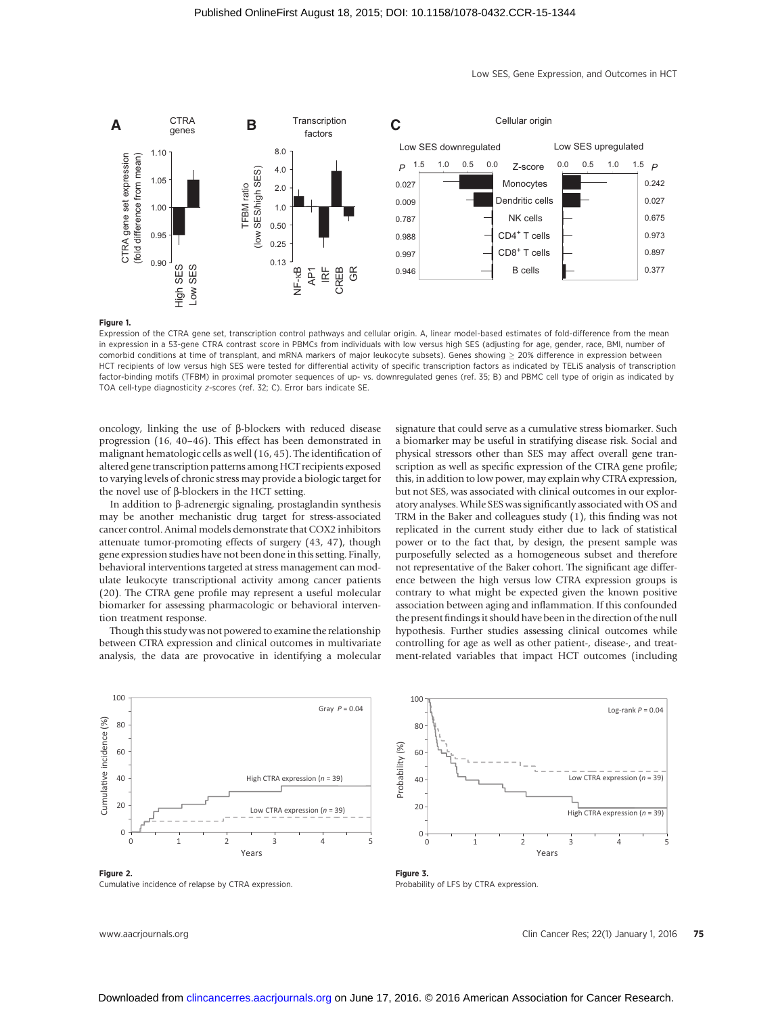

Low SES, Gene Expression, and Outcomes in HCT

0.242 0.027 0.675 0.973 0.897 0.377

#### Figure 1.

Expression of the CTRA gene set, transcription control pathways and cellular origin. A, linear model-based estimates of fold-difference from the mean in expression in a 53-gene CTRA contrast score in PBMCs from individuals with low versus high SES (adjusting for age, gender, race, BMI, number of comorbid conditions at time of transplant, and mRNA markers of major leukocyte subsets). Genes showing  $\geq$  20% difference in expression between HCT recipients of low versus high SES were tested for differential activity of specific transcription factors as indicated by TELiS analysis of transcription factor-binding motifs (TFBM) in proximal promoter sequences of up- vs. downregulated genes (ref. 35; B) and PBMC cell type of origin as indicated by TOA cell-type diagnosticity z-scores (ref. 32; C). Error bars indicate SE.

oncology, linking the use of  $\beta$ -blockers with reduced disease progression (16, 40–46). This effect has been demonstrated in malignant hematologic cells as well (16, 45). The identification of altered gene transcription patterns among HCT recipients exposed to varying levels of chronic stress may provide a biologic target for the novel use of  $\beta$ -blockers in the HCT setting.

In addition to  $\beta$ -adrenergic signaling, prostaglandin synthesis may be another mechanistic drug target for stress-associated cancer control. Animal models demonstrate that COX2 inhibitors attenuate tumor-promoting effects of surgery (43, 47), though gene expression studies have not been done in this setting. Finally, behavioral interventions targeted at stress management can modulate leukocyte transcriptional activity among cancer patients (20). The CTRA gene profile may represent a useful molecular biomarker for assessing pharmacologic or behavioral intervention treatment response.

Though this study was not powered to examine the relationship between CTRA expression and clinical outcomes in multivariate analysis, the data are provocative in identifying a molecular

signature that could serve as a cumulative stress biomarker. Such a biomarker may be useful in stratifying disease risk. Social and physical stressors other than SES may affect overall gene transcription as well as specific expression of the CTRA gene profile; this, in addition to low power, may explain why CTRA expression, but not SES, was associated with clinical outcomes in our exploratory analyses. While SES was significantly associated with OS and TRM in the Baker and colleagues study (1), this finding was not replicated in the current study either due to lack of statistical power or to the fact that, by design, the present sample was purposefully selected as a homogeneous subset and therefore not representative of the Baker cohort. The significant age difference between the high versus low CTRA expression groups is contrary to what might be expected given the known positive association between aging and inflammation. If this confounded the present findings it should have been in the direction of the null hypothesis. Further studies assessing clinical outcomes while controlling for age as well as other patient-, disease-, and treatment-related variables that impact HCT outcomes (including



Figure 2. Cumulative incidence of relapse by CTRA expression.



Figure 3. Probability of LFS by CTRA expression.

www.aacrjournals.org Clin Cancer Res; 22(1) January 1, 2016 75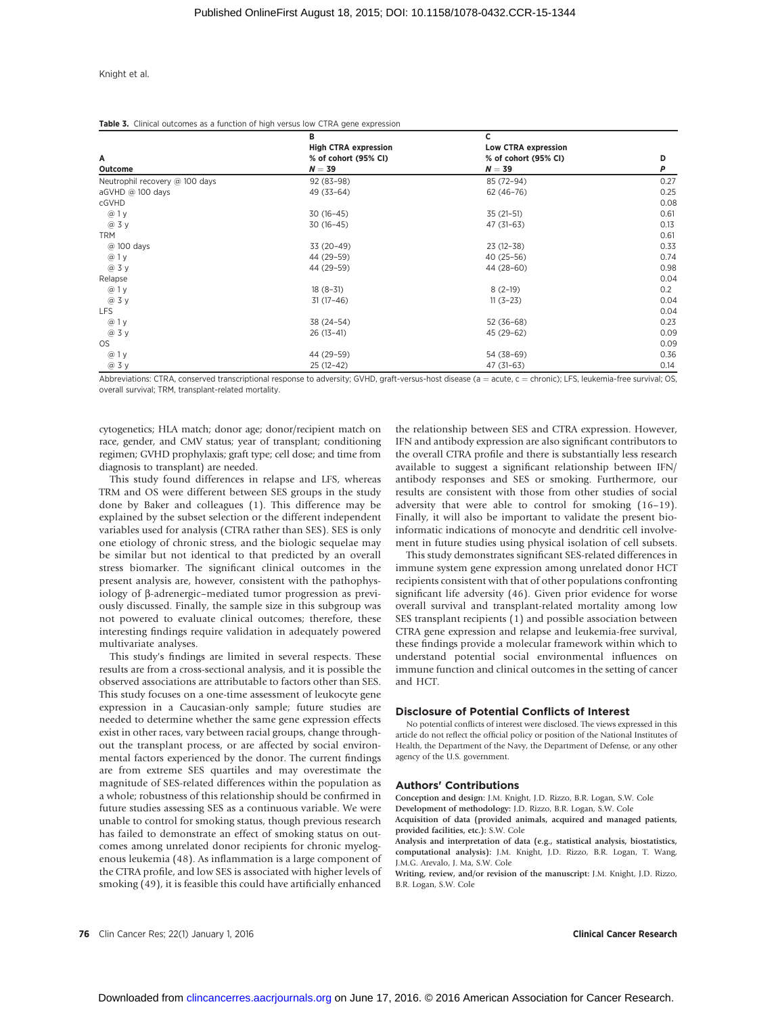| Α<br>Outcome                   | B                           | c                                |               |  |
|--------------------------------|-----------------------------|----------------------------------|---------------|--|
|                                | <b>High CTRA expression</b> | <b>Low CTRA expression</b>       | D             |  |
|                                | % of cohort (95% CI)        | % of cohort (95% CI)             |               |  |
|                                | $N = 39$                    | $N = 39$                         | Ρ             |  |
| Neutrophil recovery @ 100 days | 92 (83-98)                  | 85 (72-94)                       | 0.27          |  |
| aGVHD @ 100 days               | 49 (33-64)                  | 62 (46-76)                       | 0.25          |  |
| cGVHD                          |                             |                                  | 0.08          |  |
| @ 1 y                          | $30(16-45)$                 | $35(21-51)$                      | 0.61          |  |
| @ 3 y                          | $30(16-45)$                 | $47(31-63)$                      | 0.13          |  |
| <b>TRM</b>                     |                             |                                  | 0.61          |  |
| @ 100 days                     | 33 (20-49)                  | $23(12-38)$                      | 0.33          |  |
| @1y                            | 44 (29-59)                  | $40(25-56)$                      | 0.74          |  |
| @ 3 y                          | 44 (29-59)                  | 44 (28-60)                       | 0.98          |  |
| Relapse                        |                             |                                  | 0.04          |  |
| @ 1 y                          | $18(8-31)$                  | $8(2-19)$                        | 0.2           |  |
| @ 3 y                          | $31(17-46)$                 | $11(3-23)$                       | 0.04          |  |
| <b>LFS</b>                     |                             |                                  | 0.04          |  |
| @ 1 y                          | 38 (24-54)                  | $52(36-68)$                      | 0.23          |  |
| @ 3 y                          | $26(13-41)$                 | 45 (29-62)                       | 0.09          |  |
| OS                             |                             |                                  | 0.09          |  |
| @ 1 y                          | 44 (29-59)                  | 54 (38-69)                       | 0.36          |  |
| @ 3 y                          | $25(12-42)$                 | $47(31-63)$                      | 0.14          |  |
| $\cdot$ $\cdot$ $\cdot$        |                             | $\sim$ $\sim$ $\sim$ $\sim$<br>. | $\sim$ $\sim$ |  |

Abbreviations: CTRA, conserved transcriptional response to adversity; GVHD, graft-versus-host disease (a = acute, c = chronic); LFS, leukemia-free survival; OS, overall survival; TRM, transplant-related mortality.

cytogenetics; HLA match; donor age; donor/recipient match on race, gender, and CMV status; year of transplant; conditioning regimen; GVHD prophylaxis; graft type; cell dose; and time from diagnosis to transplant) are needed.

This study found differences in relapse and LFS, whereas TRM and OS were different between SES groups in the study done by Baker and colleagues (1). This difference may be explained by the subset selection or the different independent variables used for analysis (CTRA rather than SES). SES is only one etiology of chronic stress, and the biologic sequelae may be similar but not identical to that predicted by an overall stress biomarker. The significant clinical outcomes in the present analysis are, however, consistent with the pathophysiology of b-adrenergic–mediated tumor progression as previously discussed. Finally, the sample size in this subgroup was not powered to evaluate clinical outcomes; therefore, these interesting findings require validation in adequately powered multivariate analyses.

This study's findings are limited in several respects. These results are from a cross-sectional analysis, and it is possible the observed associations are attributable to factors other than SES. This study focuses on a one-time assessment of leukocyte gene expression in a Caucasian-only sample; future studies are needed to determine whether the same gene expression effects exist in other races, vary between racial groups, change throughout the transplant process, or are affected by social environmental factors experienced by the donor. The current findings are from extreme SES quartiles and may overestimate the magnitude of SES-related differences within the population as a whole; robustness of this relationship should be confirmed in future studies assessing SES as a continuous variable. We were unable to control for smoking status, though previous research has failed to demonstrate an effect of smoking status on outcomes among unrelated donor recipients for chronic myelogenous leukemia (48). As inflammation is a large component of the CTRA profile, and low SES is associated with higher levels of smoking (49), it is feasible this could have artificially enhanced the relationship between SES and CTRA expression. However, IFN and antibody expression are also significant contributors to the overall CTRA profile and there is substantially less research available to suggest a significant relationship between IFN/ antibody responses and SES or smoking. Furthermore, our results are consistent with those from other studies of social adversity that were able to control for smoking (16–19). Finally, it will also be important to validate the present bioinformatic indications of monocyte and dendritic cell involvement in future studies using physical isolation of cell subsets.

This study demonstrates significant SES-related differences in immune system gene expression among unrelated donor HCT recipients consistent with that of other populations confronting significant life adversity (46). Given prior evidence for worse overall survival and transplant-related mortality among low SES transplant recipients (1) and possible association between CTRA gene expression and relapse and leukemia-free survival, these findings provide a molecular framework within which to understand potential social environmental influences on immune function and clinical outcomes in the setting of cancer and HCT.

#### Disclosure of Potential Conflicts of Interest

No potential conflicts of interest were disclosed. The views expressed in this article do not reflect the official policy or position of the National Institutes of Health, the Department of the Navy, the Department of Defense, or any other agency of the U.S. government.

#### Authors' Contributions

Conception and design: J.M. Knight, J.D. Rizzo, B.R. Logan, S.W. Cole

Development of methodology: J.D. Rizzo, B.R. Logan, S.W. Cole Acquisition of data (provided animals, acquired and managed patients,

provided facilities, etc.): S.W. Cole Analysis and interpretation of data (e.g., statistical analysis, biostatistics, computational analysis): J.M. Knight, J.D. Rizzo, B.R. Logan, T. Wang, J.M.G. Arevalo, J. Ma, S.W. Cole

Writing, review, and/or revision of the manuscript: J.M. Knight, J.D. Rizzo, B.R. Logan, S.W. Cole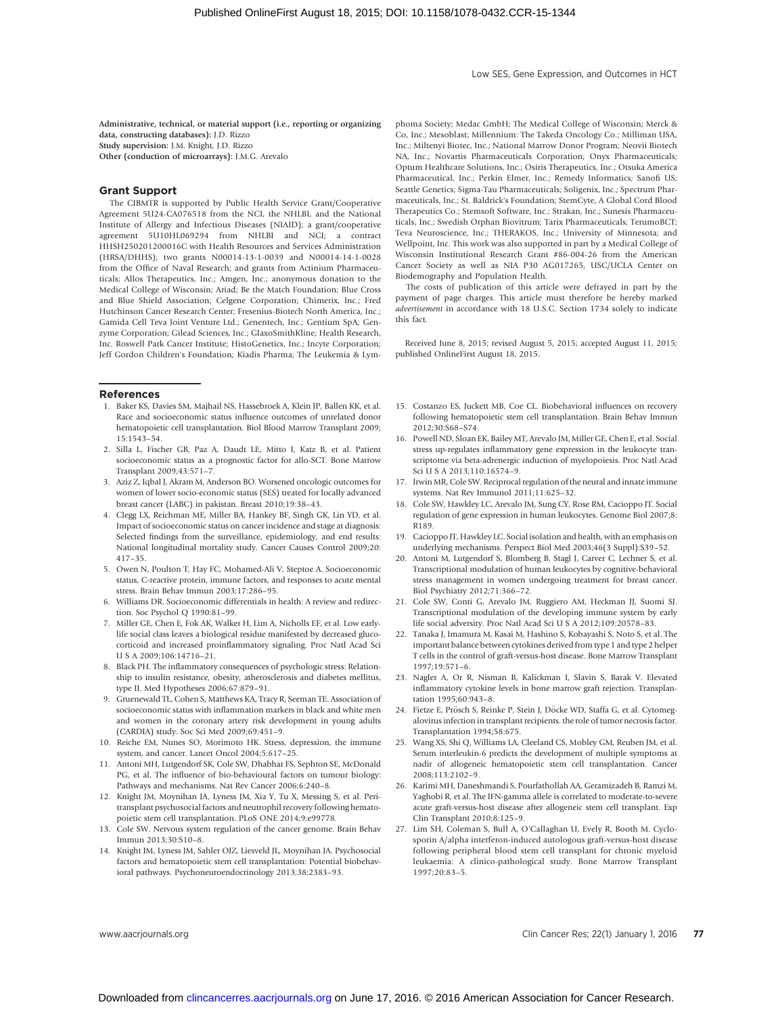Administrative, technical, or material support (i.e., reporting or organizing data, constructing databases): J.D. Rizzo Study supervision: J.M. Knight, J.D. Rizzo

Other (conduction of microarrays): J.M.G. Arevalo

#### Grant Support

The CIBMTR is supported by Public Health Service Grant/Cooperative Agreement 5U24-CA076518 from the NCI, the NHLBI, and the National Institute of Allergy and Infectious Diseases (NIAID); a grant/cooperative agreement 5U10HL069294 from NHLBI and NCI; a contract HHSH250201200016C with Health Resources and Services Administration (HRSA/DHHS); two grants N00014-13-1-0039 and N00014-14-1-0028 from the Office of Naval Research; and grants from Actinium Pharmaceuticals; Allos Therapeutics, Inc.; Amgen, Inc.; anonymous donation to the Medical College of Wisconsin; Ariad; Be the Match Foundation; Blue Cross and Blue Shield Association; Celgene Corporation; Chimerix, Inc.; Fred Hutchinson Cancer Research Center; Fresenius-Biotech North America, Inc.; Gamida Cell Teva Joint Venture Ltd.; Genentech, Inc.; Gentium SpA; Genzyme Corporation; Gilead Sciences, Inc.; GlaxoSmithKline; Health Research, Inc. Roswell Park Cancer Institute; HistoGenetics, Inc.; Incyte Corporation; Jeff Gordon Children's Foundation; Kiadis Pharma; The Leukemia & Lym-

#### References

- 1. Baker KS, Davies SM, Majhail NS, Hassebroek A, Klein JP, Ballen KK, et al. Race and socioeconomic status influence outcomes of unrelated donor hematopoietic cell transplantation. Biol Blood Marrow Transplant 2009; 15:1543–54.
- 2. Silla L, Fischer GB, Paz A, Daudt LE, Mitto I, Katz B, et al. Patient socioeconomic status as a prognostic factor for allo-SCT. Bone Marrow Transplant 2009;43:571–7.
- 3. Aziz Z, Iqbal J, Akram M, Anderson BO. Worsened oncologic outcomes for women of lower socio-economic status (SES) treated for locally advanced breast cancer (LABC) in pakistan. Breast 2010;19:38–43.
- 4. Clegg LX, Reichman ME, Miller BA, Hankey BF, Singh GK, Lin YD, et al. Impact of socioeconomic status on cancer incidence and stage at diagnosis: Selected findings from the surveillance, epidemiology, and end results: National longitudinal mortality study. Cancer Causes Control 2009;20: 417–35.
- 5. Owen N, Poulton T, Hay FC, Mohamed-Ali V, Steptoe A. Socioeconomic status, C-reactive protein, immune factors, and responses to acute mental stress. Brain Behav Immun 2003;17:286–95.
- 6. Williams DR. Socioeconomic differentials in health: A review and redirection. Soc Psychol Q 1990:81–99.
- 7. Miller GE, Chen E, Fok AK, Walker H, Lim A, Nicholls EF, et al. Low earlylife social class leaves a biological residue manifested by decreased glucocorticoid and increased proinflammatory signaling. Proc Natl Acad Sci U S A 2009;106:14716–21.
- 8. Black PH. The inflammatory consequences of psychologic stress: Relationship to insulin resistance, obesity, atherosclerosis and diabetes mellitus, type II. Med Hypotheses 2006;67:879–91.
- 9. Gruenewald TL, Cohen S, Matthews KA, Tracy R, Seeman TE. Association of socioeconomic status with inflammation markers in black and white men and women in the coronary artery risk development in young adults (CARDIA) study. Soc Sci Med 2009;69:451–9.
- 10. Reiche EM, Nunes SO, Morimoto HK. Stress, depression, the immune system, and cancer. Lancet Oncol 2004;5:617–25.
- 11. Antoni MH, Lutgendorf SK, Cole SW, Dhabhar FS, Sephton SE, McDonald PG, et al. The influence of bio-behavioural factors on tumour biology: Pathways and mechanisms. Nat Rev Cancer 2006;6:240–8.
- 12. Knight JM, Moynihan JA, Lyness JM, Xia Y, Tu X, Messing S, et al. Peritransplant psychosocial factors and neutrophil recovery following hematopoietic stem cell transplantation. PLoS ONE 2014;9:e99778.
- 13. Cole SW. Nervous system regulation of the cancer genome. Brain Behav Immun 2013;30:S10–8.
- 14. Knight JM, Lyness JM, Sahler OJZ, Liesveld JL, Moynihan JA. Psychosocial factors and hematopoietic stem cell transplantation: Potential biobehavioral pathways. Psychoneuroendocrinology 2013;38:2383–93.

phoma Society; Medac GmbH; The Medical College of Wisconsin; Merck & Co, Inc.; Mesoblast; Millennium: The Takeda Oncology Co.; Milliman USA, Inc.; Miltenyi Biotec, Inc.; National Marrow Donor Program; Neovii Biotech NA, Inc.; Novartis Pharmaceuticals Corporation; Onyx Pharmaceuticals; Optum Healthcare Solutions, Inc.; Osiris Therapeutics, Inc.; Otsuka America Pharmaceutical, Inc.; Perkin Elmer, Inc.; Remedy Informatics; Sanofi US; Seattle Genetics; Sigma-Tau Pharmaceuticals; Soligenix, Inc.; Spectrum Pharmaceuticals, Inc.; St. Baldrick's Foundation; StemCyte, A Global Cord Blood Therapeutics Co.; Stemsoft Software, Inc.; Strakan, Inc.; Sunesis Pharmaceuticals, Inc.; Swedish Orphan Biovitrum; Tarix Pharmaceuticals; TerumoBCT; Teva Neuroscience, Inc.; THERAKOS, Inc.; University of Minnesota; and Wellpoint, Inc. This work was also supported in part by a Medical College of Wisconsin Institutional Research Grant #86-004-26 from the American Cancer Society as well as NIA P30 AG017265, USC/UCLA Center on Biodemography and Population Health.

The costs of publication of this article were defrayed in part by the payment of page charges. This article must therefore be hereby marked advertisement in accordance with 18 U.S.C. Section 1734 solely to indicate this fact.

Received June 8, 2015; revised August 5, 2015; accepted August 11, 2015; published OnlineFirst August 18, 2015.

- 15. Costanzo ES, Juckett MB, Coe CL. Biobehavioral influences on recovery following hematopoietic stem cell transplantation. Brain Behav Immun 2012;30:S68–S74.
- 16. Powell ND, Sloan EK, Bailey MT, Arevalo JM, Miller GE, Chen E, et al. Social stress up-regulates inflammatory gene expression in the leukocyte transcriptome via beta-adrenergic induction of myelopoiesis. Proc Natl Acad Sci U S A 2013;110:16574–9.
- 17. Irwin MR, Cole SW. Reciprocal regulation of the neural and innate immune systems. Nat Rev Immunol 2011;11:625–32.
- 18. Cole SW, Hawkley LC, Arevalo JM, Sung CY, Rose RM, Cacioppo JT. Social regulation of gene expression in human leukocytes. Genome Biol 2007;8: R189.
- 19. Cacioppo JT, Hawkley LC. Social isolation and health, with an emphasis on underlying mechanisms. Perspect Biol Med 2003;46(3 Suppl):S39–52.
- 20. Antoni M, Lutgendorf S, Blomberg B, Stagl J, Carver C, Lechner S, et al. Transcriptional modulation of human leukocytes by cognitive-behavioral stress management in women undergoing treatment for breast cancer. Biol Psychiatry 2012;71:366–72.
- 21. Cole SW, Conti G, Arevalo JM, Ruggiero AM, Heckman JJ, Suomi SJ. Transcriptional modulation of the developing immune system by early life social adversity. Proc Natl Acad Sci U S A 2012;109:20578–83.
- 22. Tanaka J, Imamura M, Kasai M, Hashino S, Kobayashi S, Noto S, et al. The important balance between cytokines derived from type 1 and type 2 helper T cells in the control of graft-versus-host disease. Bone Marrow Transplant 1997;19:571–6.
- 23. Nagler A, Or R, Nisman B, Kalickman I, Slavin S, Barak V. Elevated inflammatory cytokine levels in bone marrow graft rejection. Transplantation 1995;60:943–8.
- 24. Fietze E, Prösch S, Reinke P, Stein J, Döcke WD, Staffa G, et al. Cytomegalovirus infection in transplant recipients. the role of tumor necrosis factor. Transplantation 1994;58:675.
- 25. Wang XS, Shi Q, Williams LA, Cleeland CS, Mobley GM, Reuben JM, et al. Serum interleukin-6 predicts the development of multiple symptoms at nadir of allogeneic hematopoietic stem cell transplantation. Cancer 2008;113:2102–9.
- 26. Karimi MH, Daneshmandi S, Pourfathollah AA, Geramizadeh B, Ramzi M, Yaghobi R, et al. The IFN-gamma allele is correlated to moderate-to-severe acute graft-versus-host disease after allogeneic stem cell transplant. Exp Clin Transplant 2010;8:125–9.
- 27. Lim SH, Coleman S, Bull A, O'Callaghan U, Evely R, Booth M. Cyclosporin A/alpha interferon-induced autologous graft-versus-host disease following peripheral blood stem cell transplant for chronic myeloid leukaemia: A clinico-pathological study. Bone Marrow Transplant 1997;20:83–5.

www.aacriournals.org Clin Cancer Res; 22(1) January 1, 2016 77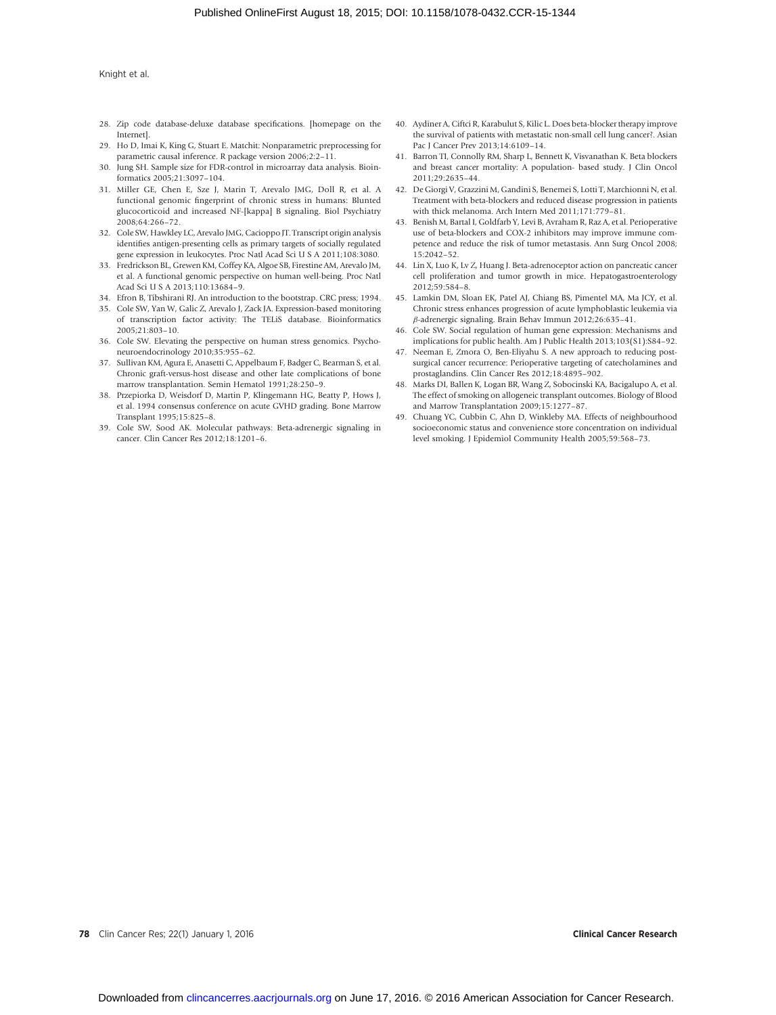- 28. Zip code database-deluxe database specifications. [homepage on the Internet].
- 29. Ho D, Imai K, King G, Stuart E. Matchit: Nonparametric preprocessing for parametric causal inference. R package version 2006;2:2–11.
- 30. Jung SH. Sample size for FDR-control in microarray data analysis. Bioinformatics 2005;21:3097–104.
- 31. Miller GE, Chen E, Sze J, Marin T, Arevalo JMG, Doll R, et al. A functional genomic fingerprint of chronic stress in humans: Blunted glucocorticoid and increased NF-[kappa] B signaling. Biol Psychiatry 2008;64:266–72.
- 32. Cole SW, Hawkley LC, Arevalo JMG, Cacioppo JT. Transcript origin analysis identifies antigen-presenting cells as primary targets of socially regulated gene expression in leukocytes. Proc Natl Acad Sci U S A 2011;108:3080.
- 33. Fredrickson BL, Grewen KM, Coffey KA, Algoe SB, Firestine AM, Arevalo JM, et al. A functional genomic perspective on human well-being. Proc Natl Acad Sci U S A 2013;110:13684–9.
- 34. Efron B, Tibshirani RJ. An introduction to the bootstrap. CRC press; 1994.
- 35. Cole SW, Yan W, Galic Z, Arevalo J, Zack JA. Expression-based monitoring of transcription factor activity: The TELiS database. Bioinformatics 2005;21:803–10.
- 36. Cole SW. Elevating the perspective on human stress genomics. Psychoneuroendocrinology 2010;35:955–62.
- 37. Sullivan KM, Agura E, Anasetti C, Appelbaum F, Badger C, Bearman S, et al. Chronic graft-versus-host disease and other late complications of bone marrow transplantation. Semin Hematol 1991;28:250–9.
- 38. Przepiorka D, Weisdorf D, Martin P, Klingemann HG, Beatty P, Hows J, et al. 1994 consensus conference on acute GVHD grading. Bone Marrow Transplant 1995;15:825–8.
- 39. Cole SW, Sood AK. Molecular pathways: Beta-adrenergic signaling in cancer. Clin Cancer Res 2012;18:1201–6.
- 40. Aydiner A, Ciftci R, Karabulut S, Kilic L. Does beta-blocker therapy improve the survival of patients with metastatic non-small cell lung cancer?. Asian Pac J Cancer Prev 2013;14:6109–14.
- 41. Barron TI, Connolly RM, Sharp L, Bennett K, Visvanathan K. Beta blockers and breast cancer mortality: A population- based study. J Clin Oncol 2011;29:2635–44.
- 42. De Giorgi V, Grazzini M, Gandini S, Benemei S, Lotti T, Marchionni N, et al. Treatment with beta-blockers and reduced disease progression in patients with thick melanoma. Arch Intern Med 2011;171:779–81.
- 43. Benish M, Bartal I, Goldfarb Y, Levi B, Avraham R, Raz A, et al. Perioperative use of beta-blockers and COX-2 inhibitors may improve immune competence and reduce the risk of tumor metastasis. Ann Surg Oncol 2008; 15:2042–52.
- 44. Lin X, Luo K, Lv Z, Huang J. Beta-adrenoceptor action on pancreatic cancer cell proliferation and tumor growth in mice. Hepatogastroenterology 2012;59:584–8.
- 45. Lamkin DM, Sloan EK, Patel AJ, Chiang BS, Pimentel MA, Ma JCY, et al. Chronic stress enhances progression of acute lymphoblastic leukemia via b-adrenergic signaling. Brain Behav Immun 2012;26:635–41.
- 46. Cole SW. Social regulation of human gene expression: Mechanisms and implications for public health. Am J Public Health 2013;103(S1):S84–92.
- 47. Neeman E, Zmora O, Ben-Eliyahu S. A new approach to reducing postsurgical cancer recurrence: Perioperative targeting of catecholamines and prostaglandins. Clin Cancer Res 2012;18:4895–902.
- 48. Marks DI, Ballen K, Logan BR, Wang Z, Sobocinski KA, Bacigalupo A, et al. The effect of smoking on allogeneic transplant outcomes. Biology of Blood and Marrow Transplantation 2009;15:1277–87.
- 49. Chuang YC, Cubbin C, Ahn D, Winkleby MA. Effects of neighbourhood socioeconomic status and convenience store concentration on individual level smoking. J Epidemiol Community Health 2005;59:568–73.